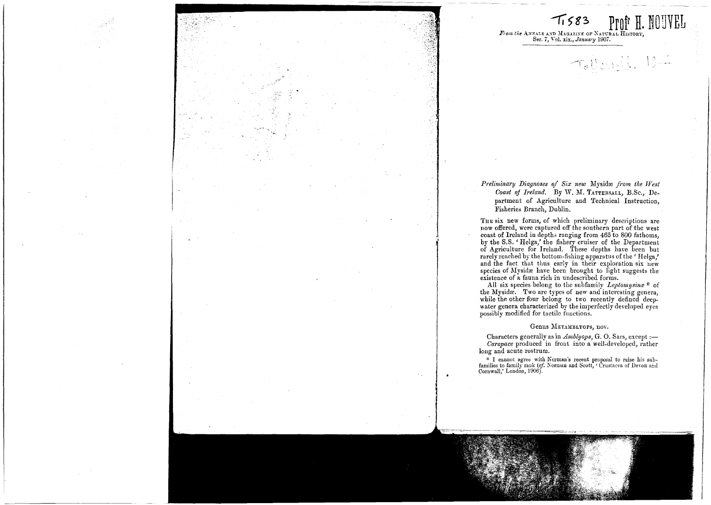

## $Proj<sup>r</sup>$  **H**. *R\om the ANNALS AND MAGAZINE OF NATURAL HISTORY*<br>Ser. 7, Vol. xix., *January* 1907.

 $\tau$ ,  $\mathbb{R}$  ,  $\mathbb{R}$   $\mathbb{R}$   $\mathbb{R}$ 

I I

i

I, I J I

I i

I I

I I I I

 $T_{1583}$ 

#### *Preliminary Diagnoses of Six new* My&idre *from the West Coast of Ireland.* By W. M. TATTERSALL, B.Sc., Department of Agriculture and Technical Instruction, :Fisheries Branch, Dublin.

THE six new forms, of which preliminary descriptions are now offered, were captured off the southern part of the west coast of Ireland in depths ranging from 465 to 800 fathoms, by the S.S. 'Helga,' the fishery cruiser of the Department of Agriculture for Ireland. These depths have been but rarely reached by the bottom-fishing apparatus of the' Helga,' and the fact that thus early in their exploration six new species of Mysidæ have been brought to light suggests the existence of a fauna rich in undescribed forms.

All six species belong to the subfamily *Leptomysina* \* of the Mysidæ. Two are types of new and interesting genera, while the other four belong to two recently defined deepwater genera characterized by the imperfectly developed eyes possibly modified for tactilc functions.

#### Genus METAMBLYOPS, nov.

Characters generally as in *Amblyops*, G. O. Sars, except :-*Carapace* produced in front into a well-developed, rather long and acute rostrum.

families to family rank (*cf.* Norman and Scott, ' Crustacea of Devon and<br>Cornwall,' London, 1906). I cannot agree with Korman's recent proposal to raise his sub-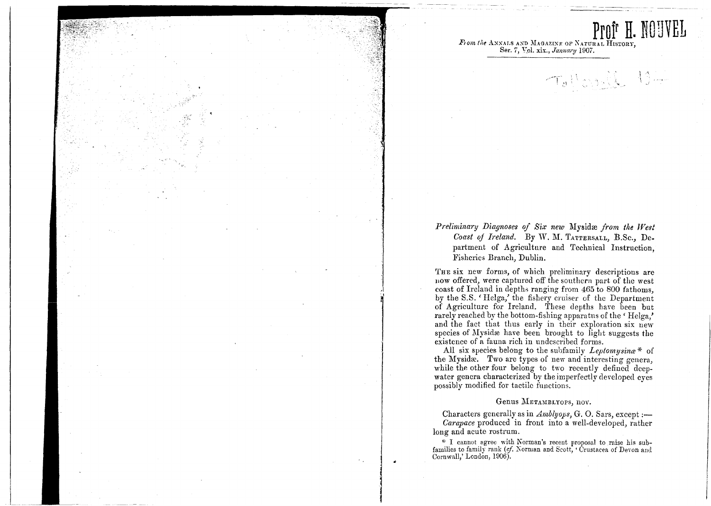**ProIr H. NOUVEL** *Flom the ANNALS AND MAGAZINE OF NATURAL HISTORY*<br>Ser. 7, <u>Vol. xix., *January* 1907.</u>

 $\pm$  10

I I i I i !

I

 $\overline{\phantom{a}}$ 

I

*Preliminary Diagnoses of Six new* Mysidre *from the West Coast oj Ireland.* By W. M. TATTERSALL, B.Sc., Department of Agriculture and Technical Instruction, :Fisheries Branch, Dublin.

THE six new forms, of which preliminary descriptions are now offered, were captured off the southern part of the west coast of Ireland in depths ranging from  $465$  to 800 fathoms. **by the S.S. 'Helga,' the fishery cruiser of the Department** of Agriculture for Ireland. These depths have been but rarely reached by the bottom-fishing apparatus of the 'Helga,' and the fact that thus early in their exploration six new species of Mysidæ have been brought to light suggests the existence of a fauna rich in undescribed forms.

All six species belong to the subfamily *Leptomysina*\* of the Mysidæ. Two are types of new and interesting genera, while the other four belong to two recently defined deepwater genera characterized by the imperfectly developed eyes possibly modified for tactile functions.

#### Genus METAMBLYOPS, nov.

Characters generally as in *Amblyops*, G.O. Sars, except :-*Carapace* produced in front into a well-developed, rather long and acute rostrum.

\* I cannot agree with Norman's recent proposal to raise his subfamilies to family rank (cf. Norman and Scott, 'Crustacea of Devon and Oornwall,' London, 1906).

it

,I 'a' I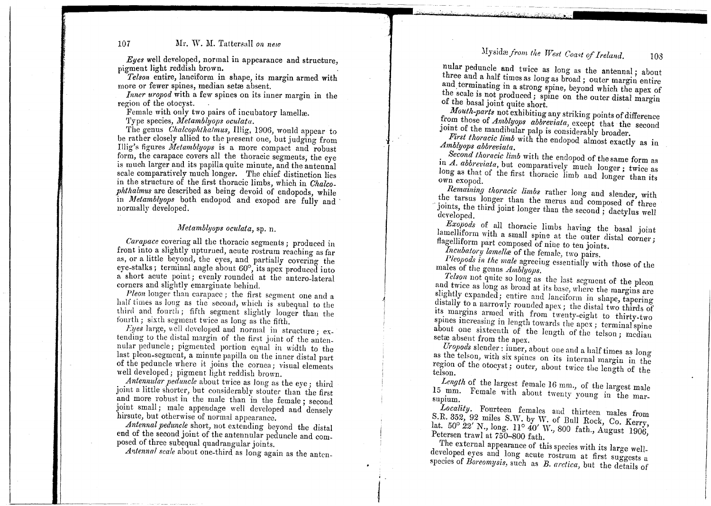## :\Iysidre *from the TVest Coast if Ireland.* <sup>108</sup>

--'-~--"'-"-

#### 107 Mr. W. M. Tattersall *on new*

*Eues* well developed, normal in appearance and structure, pigment light reddish brown.<br>*Telson* entire, lanciform in shape, its margin armed with

more or fewer spines, median setæ absent.

*Inner uropod* with a few spines on its inner margin in the region of the otocyst. region of the otocyst.<br>Female with only two pairs of incubatory lamellæ.

Type species, *Metamblyops oculata*.

The genus *Chalcophthalmus*, Illig, 1906, would appear to be rather closely allied to the present one, but judging from Illig's figures *Metamblyops* is a more compact and robust form, the carapace covers all the thoracic segments, the eye uch larger and its papilla quite minute, and the antennal scale comparatively much longer. The chief distinction lies chief distinction ]<br>bs, which in *Chal* the structure of the first thoracic limbs, which in *Chalco*-<br>in the structure of the first thoracic limbs, which in *Chalcophthalmus* are described as being devoid of endopods, while in *Metamblyops* both endopod and exopod are fully and normally developed.

#### *ivletamblyops oculata,* sp. n.

*Carapace* covering all the thoracic segments; produced in front into a slightly upturued, acute rostrum reaching as far as, or a little beyond, the eyes, and partially covering the eye-stalks; terminal angle about  $60^\circ$ , its apex produced into a short acute point; evenly rounded at the antero-Iateral corners and slightly emarginate behind.

*Pleon* longer than carapace; the first segment one and a half times as long as the second, which is subequal to the third and fourth; fifth segment slightly longer than the fourth; sixth segment twice as long as the fifth.

*Eyes* large, well developed and normal in structure; extending to the distal margin of the first joint of the antennular peduncle; pigmented portion equal in width to the last pleon-segment, a minute papilla on the inner distal part of the peduncle where it joins the cornea; visual elements well developed; pigment light reddish brown.

*Antennular peduncle* about twice as long as the eye, third joint a little shorter, but considerably stouter than the first and more robust in the male than in the female; second joint small; male appendage well developed and densely hirsute, but otherwise of normal appearance.

*Antennal peduncle* short, not extending beyond the distal end of the second joint of the antennular peduncle and com. posed of three subequal quadrangular joints.

Antennal scale about one-third as long again as the anten-

nular peduncle and twice as long as the antennal; about three and a half times as long as broad; outer margin entire and terminating in a strong spine, beyond which the apex of the scale is not produced; spine on the outer distal margin of the basal joint quite short.

*Mouth-parts* not exhibiting any striking points of difference from those of *Amblyops abbreviata,* except that the second joint of the mandibular palp is considerably broader.

*First thoracic limb* with the endopod almost exactly as in *Amblyops abbreviata.*

*Second thorncic limb* with the endopod of the same form as in *A. abbreviata,* but comparatively much longer; twice as long as that of the first thoracic limb and longer than its Own exopod.

*Remaining thoracic limbs* rather long and slender, with the tarsus longer than the merus and composed of three joints, the third joint longer than the second; dact if three developed.

*E:copods* of all thoracic limbs having the basal joint lamelliform with a small spine at the outer distal corner; flagelliform part composed of nine to ten joints.

*Incubatory lamella* of the female, two pairs.

I

*J*

Pleopods in the male agreeing essentially with those of the males of the genus *Amblyops.*

*Telson* not quite so long as thc last scgment of the pleon and twice as long as broad at its base, where the margins are slightly expanded; entire and lanciform in shape, tapering distally to a narrowly rounded apex; the distal two thirds of its margins armed with from twenty-eight to thirty-two spines increasing in length towards the apex; terminal spine about one sixteenth of the length of the telson; median setæ absent from the apex.

*Uropods* slender: inner, about one and a half times as long as the telson, with six spines on its internal margin in the region of the otocyst; outer, about twice the length of the teIson.

*Length* of the largest female 16 mm., of the largest male 15 mm. Female with about twenty young in the marsupium.

*Locality.* Fourteen females and thirteen males from S.R. 352, 92 miles S.W. by W. of Bull Rock, Co. *Kerry,* lat. 50° 22' N., long.  $11^{\circ}$  40' W., 800 fath., August 1906, Petersen trawl at 750-800 fath.

The external appearance of this species with its large weIl. developed eyes and long acute rostrum at first suggests a species of *Boreomysis,* such as *B. arctica,* but the details of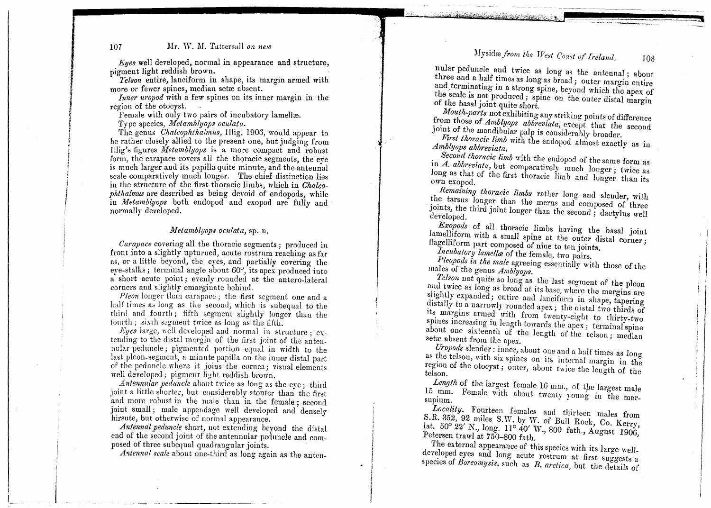#### 107 Mr. IV. U. Tattersall *on new*

 $Eyes$  well developed, normal in appearance and structure pigment light reddish brown

fluent light reduish orown.<br>Telson entire, lanciform in shape, its margin armed with more or fewer spines, median setæ absent.

Inner uropod with a few spines on its inner margin in the region of the otocyst.

non of the otocyst.<br>Female with only two pairs of incubatory lamellæ.

Type species, *Metamblyops oculata*.

The genus *Chalcophthalmus*, Illig, 1906, would appear to be rather closely allied to the present one, but judging from Illig's figures *Metamblyops* is a more compact and robus form, the carapace covers all the thoracic segments, the eye is much larger and its papilla quite minute, and the antenna is much larger and its papilla quite minute, and the anteni<br>scale comparatively much longer. The chief distinction l scale comparatively much longer. The chief distinction lies<br>in the structure of the first thoracic limbs, which in *Chalcophthalmus* are described as being devoid of endopods, while in *Metamblyops* both endopod and exopod are fully and normally developed.

#### *l1-'Ietamblyops oeulata,* sp. n.

*Carapace* covering all the thoracic segments; produced in front into a slightly upturned, acute rostrum reaching as far as, Or as, or a little beyond, the eyes, and partially covering the eye-stalks; terminal angle about  $60^{\circ}$ , its apex produced into a short acute point; evenly rounded at the antero-lateral corners and slightly emarginate behind.

*Pleon* longer than carapace ; the first segment one and a half times as long as the second, which is subequal to the third and fourth; fifth segment slightly longer than the fourth; sixth segment twice as long as the fifth.

Eyes large, well developed and normal in structure;  $ex$ tending to the distal margin of the first joint of the antennular peduncle; pigmented portion equal in width to the hadd pediatole, pigmented portion equal in width to the of the peduncle where it joins the cornea; visual elements well developed; pigment light reddish brown. *Pleon* longer than carapace ; the first segment one and a if times as long as the second, which is subequal to the rd and fourth ; fifth segment twice as long as the fifth. <br> *xFyes* large, well developed and normal in st

*Antennular peduncle* about twice as long as the eve : third *Antennular peduncle* about twice as long as the eve : third joint a little shorter, but considerably stouter than the first and more robust in the male than in the female; second joint small; male appendage well developed and densely hirsute, but otherwise of normal appearance.

Antennal peduncle short, not extending beyond the distal end of the second joint of the antennular peduncle and composed of three subequal quadrangular joints.<br>Antennal scale about one-third as long again as the anten-

i

 $\overline{\phantom{a}}$ 

nular peduncle and twice as long as the antennal; about three and a half times as long as broad; outer margin  $\frac{1}{2}$  about

~ ~

-- --

108

--.............---

-

and terminating in a strong spine, beyond which the approximate the scale is not produced; spine on the outer distal margin of the basal joint quite short.

 $M$ ysidæ *from the West Coast of Ireland.* 

*Mouth-parts* not exhibiting any striking points of difference from those of *Amblyops abbreviata*, except that the second joint of the mandibular palp is considerably broader.

*First thoracic limb* with the endopod almost exactly as in *Amblyops abbreviata.*

Second thoracic limb with the endopod of the same form as in *A. abbreviata*, but comparatively much longer; twice as long as that of the first thoracic limb and longer than its own exopod.

*Remaining thoracic limbs* rather long and slender, with the tarsus longer than the merus and composed of three joints, the third joint longer than the second; dactylus well developed.

*Exopods* of all thoracic limbs having the basal joint lamelliform with a small spine at the outer distally lound flagelliform part composed of nine to ten joints.

Incubatory *lamella* of the female, two pairs.

Pleopods in the male agreeing essentially with those of the males of the genus *Amblyops.*

*Telson* not quite so long as the last scgment of the pleon and twice as long as broad at its base, where the margins are slightly expanded; entirc and lanciform in shape, tapering distally to a narrowly rounded apex. the distal two distances its margins armed with from twenty-eight to thirty-two spines increasing in length towards the apex; terminal spine about one sixteenth of the length of the telson  $\ddot{ }$ setæ absent from the apex. *Leonomysis* of all thoracic limbs having the basal joint<br> *Bamelliform* part composed of nine to the joints,<br> *Recolutory lamellike* of the female, two pairs,<br> *Pleopols in the male* agreeing essentially with those of the

 $U$ ropods slender: inner, about one and a half  $t$ as the telson, with six spines on its internal margin in the region of the otocyst; outer, about twice the length of the length telson.

Length of the largest female 16 mm., of the largest male 15 mm. Female with about twenty young in the marsupium.

*Locality.* Fourteen females and thirteen males from S.R. 352, 92 miles S.W. by vV. of *Bull* Rock, Co. Kerry, lat. 50° 22' N., long. 11° 40' W., 800 fath., August 1906, Petersen trawl at 750-800 fath.

The external appearance of this species with its large welldeveloped eyes and long acute rostrum at first suggests a species of *Boreomysis*, such as  $B$ , *arctica*, but the details of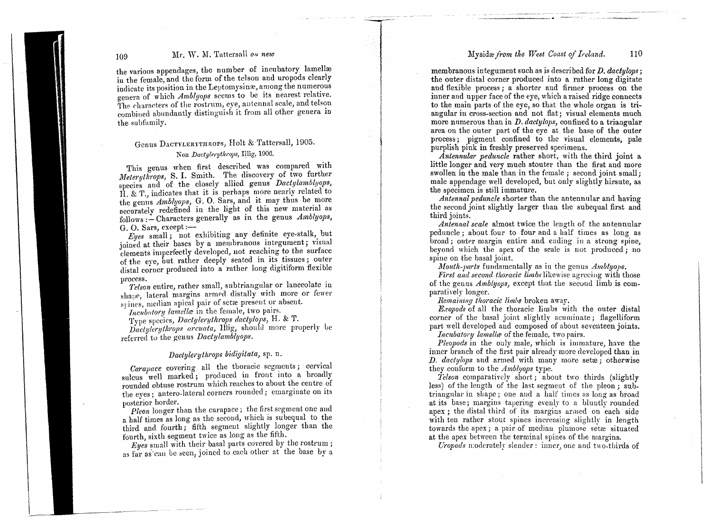#### Mysid::e*from the West Coast of Ireland.* 110

~-~. . -~---,

- -~-' "'-- --'

"--, ",,~.~""-:"':";'.'''«"

### 109 Mr. W. M. Tattersall *on new*

the various appendages, the number of incubatory lamellæ in the female, and the form of the telson and uropods clearly indicate its position in the Leptomysinæ, among the numerous genera of which *Amblyops* seems to be its nearest relative. The characters of the rostrum, eye, antennal scale, and telson combined abundantly distinguish it from all other genera in the subfamily.

- ~\_..-

### Genus Dactylerythrops, Holt & Tattersall, 1905

#### Non *Dactylerythrops*, Illig, 1906.

This genus when first described was compared with *Meteruthrops*, S. I. Smith. The discovery of two further species and of the closely allied genus *Dactylamblyops*, H. & 'f., indicates that it is perhaps more nearly related to the genus *Amblyops*, G. O. Sars, and it may thus be more accurately redefined in the light of this new material as follows :- Characters generally as in the genus *Amblyops*, G. O. Sars,  $except:$ 

*Eyes* small; not exhibiting any definite eye-stalk, but joined at their bases by a membranous integument; Visual elements imperfectly developed, not reaching to the surface of the eve, out rather deeply seated in its tissues; outer distal corner produced into a rather long digitiform nexible process.

*Telson* entire, rather small, subtriangular or lanceolate in shape, lateral margins armed distally with more or fewer stines, median apical pair of sette present or absent.

*Incubatory lamella* in the female, two pairs.

Tvpe spc~ics, *Dactylerythrops dactylo]Js,* H. & T.

*Dactylerythrops arcuata, Illig, should more properly be* referred to the genus *Dactylamblyops*.

#### *Dactylerythrops bidigitata*, sp. n.

Carapace covering all the thoracic segments; cervical sulcus well marked; produced in front into a broadly rounded obtuse rostrum which reacbes to about the centre of the eyes; antero-lateral corners rounded; emarginate on its posterior border

*Pleon* longer than the carapace; the first segment one and a half times as long as the second, which is subequal to the third and fourth; fifth segment slightly longer than the fourth, sixth segment twice as long as the fifth.

*Eyes* small with their basal parts covered by the rostrum; as far as can be seen, joined to each other at the base by a

membranous integument such as is described for *D. daclylop8* j the outer distal corner produced into a rather long digitat and flexible process; a shorter and firmer process on the inner and upper face of the eye, which a raised ridge connect to the main parts of the eye, so that the whole organ is triangular in cross-section and not flat; visual elements much more numerous than in  $D$ .  $dactylops$ , confined to a triangular area on the outer part of the eye at the base of the outer process <sup>j</sup> pigment confined to the visual elements, pale purplish pink in freshly preserved specimens.

*Antennular peduncle* rather short, with the third joint a little longer and very much stouter than the first and more swollen in the male than in the female; second joint small; male appendage well developed, but only slightly hirsute, as the specimen is still immature.

*Antennal peduncle* shorter than the antennular- and having the second joint slightly larger than the subequal first and third joints.

*Antennal scale* almost twice the length of the antennular peduncle jabout four to four and a half times as long as broad; outer margin entire and ending in a strong spine beyond which the apex of the scale is not produced; no spine on the basal joint.

*Mouth-parts* fundamentally as in the genus *Amblyops.* 

*First and second thoracic limbs* likewise agrceing with those of the genus *Ambtyops,* except that the second limb is comparatively longer.

*Remaining thoracic limhs* broken away.

*E.ropods* of all the thoracic limbs with the outer distal corner of the basal joint slightly acuminate; flagelliform part well developed and composed of about seventeen joints.

*Incubatory lamella* of the female, two pairs.

*Pleopods* in the only male, which is immature, have the inner branch of the first pair already more developed than in *D. dactylops* and armed with many more setxe; otherwis they conform to the *Amblyops* type.

*Telson* comparatively short; about two thirds (slightly less) of the length of the last segment of the pleon; subtriangular in shape <sup>j</sup> one and a half times as long as broad at its base; margins tapering evenly to a bluntly rounded apex; the distal third of its margins armed on 'each side with ten rather stout spines increasing slightly in length towards the apex; a pair of median plumose setæ situate at the apex between the terminal spines of the margins.

*Uropods* moderately slender: inner, one and two-thirds of

 $\mathfrak j$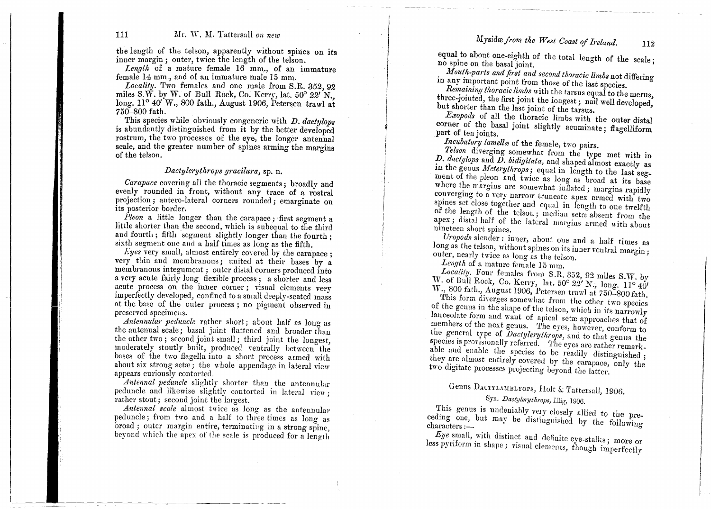*Mysidrefrom the West Coast of Ireland.* 112

#### 111 Mr. W. M. Tattersall on new

the length of the telson, apparently without spines on its inner margin; outer, twice the length of the telson.

Length of a mature female 16 mm., of an immature female 14 mm., and of an immature male 15 mm.

*Locality.* Two females and one male from S.R. 352, 92 miles S.W. by W. of Bull Rock, Co. Kerry, lat.  $50^{\circ}$  22' N. long.  $11^{\circ}$  40'W., 800 fath., August 1906, Petersen trawl at 750-800 fath.

This species while obviously congeneric with *D. dactylops* is abundantly distinguished from it by the better developed rostrum, the two processes of the eye, the longer antennal scale, and the greater number of spines arming the margins of the telson.

#### *Dactylerythrops gracilura,* sp. n.

*Carapace* covering all the thoracic segments; broadly and evenly rounded in front, without any trace of a rostral projection; antero-Iateral corners rounded; emarginate on its posterior border.

*Pleon* a little longer than the carapace; first segment a little shorter than the second, which is subequal to the third and fourth; fifth segment slightly longer than the fourth; sixth segment one and a half times as long as the fifth.

*Lyes* very small, almost entirely covered by the carapace; very thin and membranous; united at their bases by a membranous integument; outer distal corners produced into a very acute fairly long flexible process; a shorter and less acute process on the inner corner; visual elements very imperfectly developed, confined to a small deeply-seated mass at the base of the outer process; no pigment observed in preserved specimens.

*Antennular peduncle* rather short; about half as long as the antennal scale; basal joint flattened and broader than the other two; second joint small; third joint the longest, moderately stoutly built, produced ventrally between the bases of the two flagella into a short process armed with about six strong setae; the whole appendage in lateral view appears curiously contorted.

*Antennal peduncle* slightly shorter than the antennular peduncle and Jikewise slightly contorted in lateral yiew; rather stout; second joint the largest.

*Antenna! 8cale* almost twice as long as the antennular peduncle; from two and a half to three times as long as broad; outer margin entire, terminating in a strong spine, beyond which the apex of the scale is produced for a length

equal to about one-eighth of the total length of the scale no spine on the basal joint.

 $M$ outh-parts and first and second thoracic limbs not differing in any important point from those of the last species.

*Remaining thoracic limbs* with the tarsus equal to the merus, three-jointed, the first joint the longest; nail well developed, but shorter than the last joint of the tarsus.

*Exopod8* of all the thoracic limbs with the outer distal corner of the basal joint slightly acuminate; flagelliform part of ten joints

*Incubatory lamella* of the female, two pairs.

I

I I I f

> *Tel80n* diverging somewhat from the type met with in *p. dactylops* and *D.bidigitata,* and shaped almost exactly as in the genus *Meterythrops*; equal in length to the last segment of the pleon and *twice* as long as broad at its base where the margins are somewhat inflated; margins rapidly converging to a very narrow truncate apex armed with two spines set close together and equal in length to one twelfth of the length of the telson; median seta absent from the  $apex$ ; distal half of the lateral margins armed  $\pm i$ , and nineteen short spines.

> *Uropod8* slender: inner, about one and a half times as long as the telson, without spines on its under a natural margin;<br>outer, nearly twice as long as the telson. *Length* of a mature female 15 mm.

*Locality.* Four females from S.R. 352, 92 miles S.W. by W. of Bull Rock, Co. Kerry, lat. 50° 22' N., long. 11° 40' W., 800 fath., August 1906, Petersen trawl at 750-800 fath.

This form diverges somewhat from the other two species of the genus in the shape of the telson, which in its narrowly lanceolate form and want of apical setae approaches that of members of the next genus. The eyes, however, conform to the general type of *Dactylerythrops*, and to that genus the species is provisionally referred. The eyes are rather remarkable and enable the species to be readily distinguished; they are almost entirely covered by the carapace, only the two digitate processes projecting beyond the latter.

# Genus DACTYLAMBLYOPS, Holt & Tattersall, 1906.

### Syn. *Dactylerythrops*, Illig, 1906.

This genus is undeniably very closely allied to the preceding one, but may be distinguished by the  $f(x)$  precharacters :--

*Eye* small, with distinct and definite eye-stalks; more or less pyriform in shape; visual elements, though imperfectly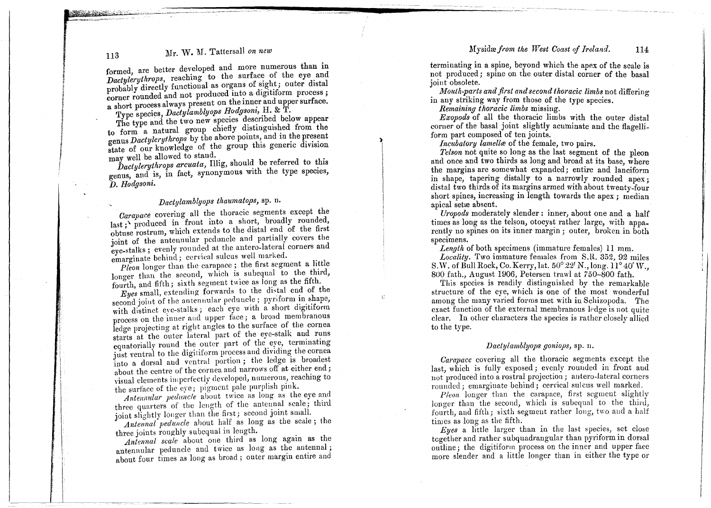#### $M$ ysidæ *from the West Coast of Ireland.* 114

### 113 Mr. W. M. Tattersall on new

formed, are better developed and more numerous than in *Dactylerythrops,* reaching to the surface of the eye and probably directly functional as organs of sight; outer distal corner rounded and not produced into a digitiform process; corner rounded and not produced mto a digital process; a short process always present on the mner and upper surface.

Type species, *Dactylamblyops Hougsoni*, **H.** & **H.** The type and the two new species described below appear to form a natural group chiefly distinguished from the to form a natural group chiefly distinguished from the  $_{\rm s}$  *Dactylerythrops* b genus *Dactylerythrops* by the above points, and in the present genus *Dactylerythrops* by the above points, and in the present state of our knowledge of the group this generic division may well be allowed to stand.

*Dactylerythrops arcuata*, Illig, should be referred to this genus, and is, in fact, synonymous with the type species, *D. Hodgsoni.*

### *Dactylamblyops thaumatops,* sp. II.

*Carapace* covering all the thoracic segments except the  $\text{last}$ ; produced in front into a short, broadly rounded obtuse rostrum, which extends to the distal end of the first joint of the antennular pcduncle and partially covers the eye-stalks; evenly rounded at the antero-lateral corners and emarginate behind; cervical sulcus well marked. .

*Pleon* longer than the carapace; the first segment a host longer than the second, which is subequal to the third, fourth, and fifth; sixth segment twice as long as the fifth.

*Eyes* small, extending forwards to the distal end of the second joint of the antennular peduncle; pyriform in shape, with distinct eye-stalks; each eye with a short digital process on the inner and upper face; a broad membrano ledge projecting at right angles to the surface of the cornea starts at the outer lateral part of the eye-stalk and runs equatorially round the outer part of the eye, terminating just ventral to the digitiform process and dividing the cornea into a dorsal and ventral portion; the ledge is broader about the centre of the cornea and narrows off at either end; visual elements imperfectly developed, numerous, reaching to the surface of the eye; pigment pale purplish pink.

*Antennular peduncle* about twice as long as the eye and three quarters of the length of the antennal scale; third joint slightly longer than the first; second joint small.

*Antennal peduncle* ahout half as long as the scale; the three joints roughly subequal in length. .

*Antennal scale* about one third as long agam as the antennular peduncle and twice as long as the antennal; about four times as long as broad; outer margin entire and

terminating in a spine, beyond which the apex of the scale is not produced; spine on the outer distal corner of the basal joint obsolete.

 $\emph{Mouth-parts and first and second thoracic links not differing}$ in any striking way from those of the type species..

*Remaining thoracic limbs* missing.

i~

*Exopods* of all the thoracic limbs with the outer distal corner of the basal joint slightly acuminate and the flagelliform part composed of ten joints.

*Incubatory lamella* of the female, two pairs.

*Telson* not quite so long as the last segment of the pleon and once and two thirds as long and broad at its base, where the margins are somewhat expanded; entire and lanciform in shape, tapering distally to a narrowly rounded apex distal two thirds of its margins armed with about twenty-four short spines, increasing in length towards the apex ; median apical setre absent.

I,

*Uropods* moderately slender: inner, about one and a half times as long as the telson, otocyst rather large, with apparently no spines on its inner margin; outer, broken in both specimens.

*Length* of both specimens (immature females) II mm.

*Locality.* Two immature females from S.R. 352, 92 miles S.W. of Bull Rock, Co. Kerry, lat.  $50^{\circ}$  22' N., long.  $11^{\circ}$  40' W., *800* fath., August 1906, Petersen trawl at 750-800 fath.

This spccies is readily distinguished by the remarkable structure of the eye, which is one of the most wonderful among the many varied forms met with in Schizopoda. The exact function of the extemal membranous ledge is not quite clear. In other characters the species is rather closely allied to the type.

#### *Dactylamblyops goniops,* sp. n.

*Carapace* covering all the thoracic segments except the last, which is fully exposed; evenly rounded in front and  $_{\rm not}$  produced into a rostral projection ; antero-lateral corners rounded; emarginate behind; cervical sulcus well marked.

*Pleon* longer than the carapace, first scgment slightly longer than the second, which is subequal to the third, fourth, and fifth.; sixth segment rather long, two and a half times as long as the fifth.

*Eyes* a little larger than in the last species, set close together and rather subquadrangular than pyriform in dorsal outline; the digitiform process on the inner and upper face more slender and a little longer than in either the type or is all the thoracic segments except the<br>
interpretent contrad rostral projection; antero-lateral corners<br>
ite behind; cervical sulcus well marked.<br>
an the carapace, first segment slightly<br>
ccond, which is subequal to the t

."

.~~ *i* ";~¥3;;.>'«

fi

I

I

I

I

t

į.

 $\frac{1}{2}$ 

,,~"'~.=--~~ --~-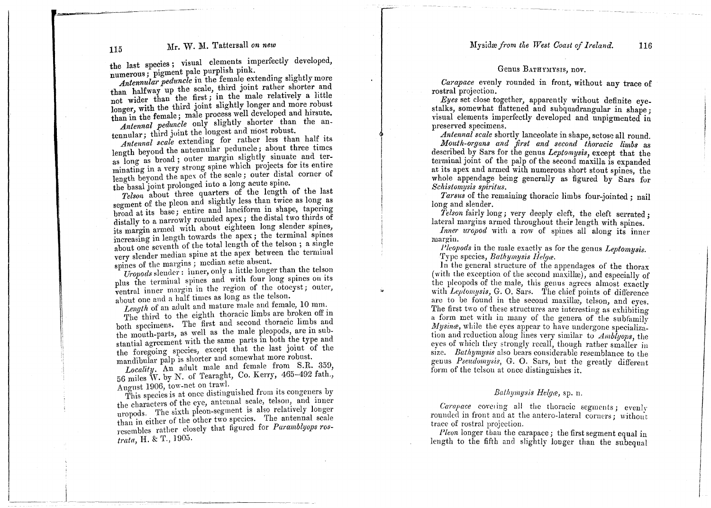### 115 Mr. W. M. Tattersall on new latter and the Myside from the West Coast of Ireland. 116

the last species; visual elements imperfectly developed,<br>numerous; pigment pale purplish pink.<br>*Antennular peduncle* in the female extending slightly more numerous; pigment pale purplish pink.

than halfway up the scale, third joint rather shorter and not wider than the first; in the male relatively a little not wider than the first, in the male relatively a first than in the female; male process well developed and hirsute. than in the female; male process well developed and fireward

*Antennal peduncle* only slightly shorter than the antennular; third joint the longest and most robust.<br>Antennal scale extending for rather less than half its

length beyond the antennular peduncle; about three times as long as broad; outer margin slightly sinuate and terminating in a very strong spine which projects for its entire minating in a very strong spille which projects for its entity length beyond the apex of the scale; outer distal corner of the basal joint prolonged into a long acute spille.

*Telson* about three quarters of the length of the last<br>segment of the pleon and slightly less than twice as long as broad at its base; entire and lancriorm in shape, taperm distally to a narrowly rounded apex; the distal two thirds of its margin armed with about eighteen long siender spines increasing in length towards the apex; the terminal spines about one seventh of the total length of the telson; a single<br>very slender median spine at the apex between the terminal spines of the margins; median sette absent.

*Uropods* slender: inner, only a little longer than the telson plus the terminal spines and with four long spines on its ventral inner margin in the region of the otocyst; outer, about one and a half times as long as the telson.

 $Length$  of an adult and mature male and female, 10 mm.

The third to the eighth thoracic limbs are broken of  $m$ both specimens. The first and second thoracic finites and the mouth-parts, as well as the male pleopods, are in substantial agreement with the same parts in both the type and the foregoing spccies, except that the last joint of the mandibular palp is shorter and somewhat more robust.

*Locality.* An adult male and female from S.R. 359, 56 miles W. by N. of Tearaght, Co. Kerry, 465-49.2 fath., August 1906, tow-net on trawl.

This species is at once distinguished from its congeners by the characters of the eye, antennal scale, telson, and inner the characters of the eye, antennal scale, telson, and inner uropods. The sixth pleon-segment is also relatively longer than in either of the other two species. The antennal scale resembles rather closely that figured for *Paramblyops rostrata*, H. & T., 1905.

#### Genus BATHYMYSIS, nov.

*Carapace* evenly rounded in front, without any trace of Carapuce even

*Eyes* set close together, apparently without definite eye. stalks, somewhat flattened and subquadrangular in shape: visual elements imperfectly developed and unpigmented in preserved specimens.

*Antennal scale* shortly lanceolate in shape, setose all round.

*M~uth-or!Jans and first and second thoracic limbs* as described by Sars for the genus *Leptomysis*, except that the terminal joint of the palp of the second maxilla is expanded at its apex and armed with numerous short stout spines, the  $\sim$ whole appendage being generally as figured by Sars for<br>whole appendage being generally as figured by Sars for *S h t* . .' *c zs omyszs spzrztus.*

*Tarsus* of the remaining thoracic limbs four-jointed ; nail long and slender.

 $Telson$  fairly long; very deeply cleft, the cleft serrated; lateral margins armed throughout their length with spines.

for the spines.<br>*Inner uropod* with a row of spines all along its inne margin.

*Pleopods* in the male exactly as for the genus *Leptomysis*<br>Type species*, Bathymysis Helgæ*.  $'I$ ype species, *Bathymysis Helga*.

ii

IIII*I*I

In the general structure of the appendages of the thorax (with the exception of the second maxillæ), and especially of the pleopods of the male, this genus agrees almost  $\rm exactly$ with *Leptomysis*, G. O. Sars. The chief points of differenc are to be found in the second maxillæ, telson, and e The first two of these structures are interesting as exhibiting The first two of these structures are interesting as exhibiting<br>a form met with in many of the genera of the subfamily a form met with in many of the genera of the subfamily  $Mysine$ , while the eyes appear to have undergone specializa-*Mysinæ*, while the eyes appear to have undergone specializa<br>tion and reduction along lines very similar to *Amblyops*, the eves of which they strongly recall, though rather smaller in size. *Bathymysis* also bears considerable resemblance to the genus *Pseudomysis*, G. O. Sars, but the greatly different form of the telson at once distinguishes it. size. *Bathymysis* also bears considerable resemblance to the<br>genus *Pseudomysis*, G. O. Sars, but the greatly different<br>form of the telson at once distinguishes it.<br> $Bathymysis Helga$ , sp. n.<br> $Carapace$  covering all the thoracic segme

 $\ddot{\phantom{0}}$ 

*Bathymysis Helgæ*, sp. n.

*Carapace* covering all the thoracic segments; evenly rounded in front and at the antero-lateral corners; without rounded in front and at the<br>trace of rostral projection.

*Pleon* longer than the carapace; the first segment equal in length to the fifth and slightly longer than the subsqual